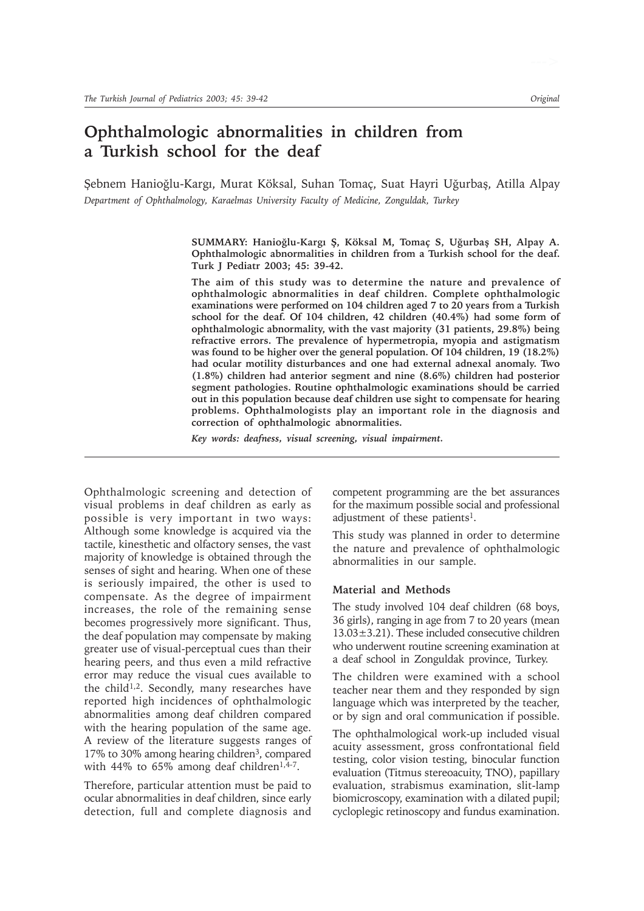# **Ophthalmologic abnormalities in children from a Turkish school for the deaf**

Sebnem Hanioğlu-Kargı, Murat Köksal, Suhan Tomaç, Suat Hayri Uğurbaş, Atilla Alpay *Department of Ophthalmology, Karaelmas University Faculty of Medicine, Zonguldak, Turkey*

> SUMMARY: Hanioğlu-Kargı Ş, Köksal M, Tomaç S, Uğurbaş SH, Alpay A. **Ophthalmologic abnormalities in children from a Turkish school for the deaf. Turk J Pediatr 2003; 45: 39-42.**

> **The aim of this study was to determine the nature and prevalence of ophthalmologic abnormalities in deaf children. Complete ophthalmologic examinations were performed on 104 children aged 7 to 20 years from a Turkish school for the deaf. Of 104 children, 42 children (40.4%) had some form of ophthalmologic abnormality, with the vast majority (31 patients, 29.8%) being refractive errors. The prevalence of hypermetropia, myopia and astigmatism was found to be higher over the general population. Of 104 children, 19 (18.2%) had ocular motility disturbances and one had external adnexal anomaly. Two (1.8%) children had anterior segment and nine (8.6%) children had posterior segment pathologies. Routine ophthalmologic examinations should be carried out in this population because deaf children use sight to compensate for hearing problems. Ophthalmologists play an important role in the diagnosis and correction of ophthalmologic abnormalities.**

*Key words: deafness, visual screening, visual impairment.*

Ophthalmologic screening and detection of visual problems in deaf children as early as possible is very important in two ways: Although some knowledge is acquired via the tactile, kinesthetic and olfactory senses, the vast majority of knowledge is obtained through the senses of sight and hearing. When one of these is seriously impaired, the other is used to compensate. As the degree of impairment increases, the role of the remaining sense becomes progressively more significant. Thus, the deaf population may compensate by making greater use of visual-perceptual cues than their hearing peers, and thus even a mild refractive error may reduce the visual cues available to the child1,2. Secondly, many researches have reported high incidences of ophthalmologic abnormalities among deaf children compared with the hearing population of the same age. A review of the literature suggests ranges of 17% to 30% among hearing children<sup>3</sup>, compared with 44% to 65% among deaf children<sup>1,4-7</sup>.

Therefore, particular attention must be paid to ocular abnormalities in deaf children, since early detection, full and complete diagnosis and competent programming are the bet assurances for the maximum possible social and professional adjustment of these patients<sup>1</sup>.

This study was planned in order to determine the nature and prevalence of ophthalmologic abnormalities in our sample.

## **Material and Methods**

The study involved 104 deaf children (68 boys, 36 girls), ranging in age from 7 to 20 years (mean 13.03±3.21). These included consecutive children who underwent routine screening examination at a deaf school in Zonguldak province, Turkey.

The children were examined with a school teacher near them and they responded by sign language which was interpreted by the teacher, or by sign and oral communication if possible.

The ophthalmological work-up included visual acuity assessment, gross confrontational field testing, color vision testing, binocular function evaluation (Titmus stereoacuity, TNO), papillary evaluation, strabismus examination, slit-lamp biomicroscopy, examination with a dilated pupil; cycloplegic retinoscopy and fundus examination.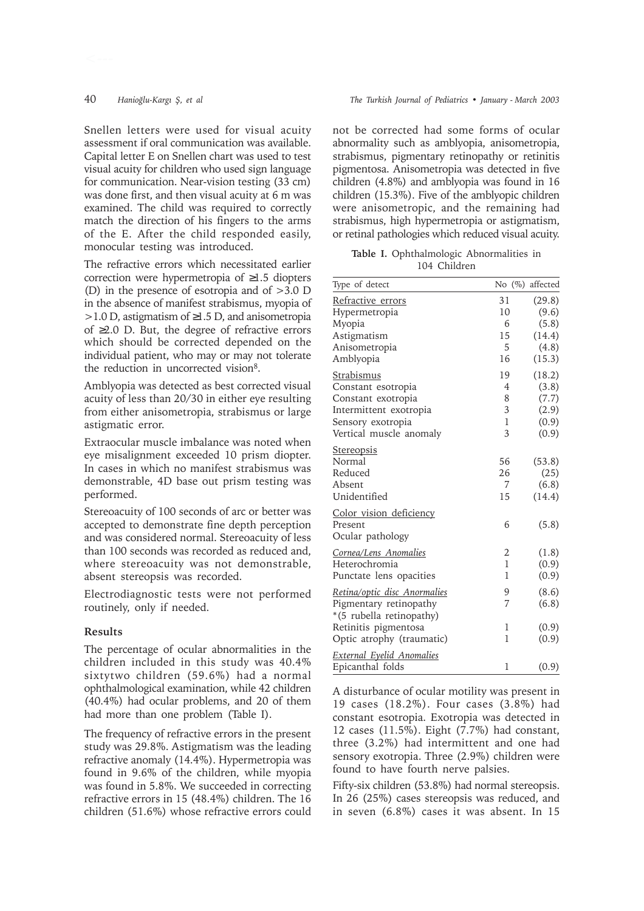Snellen letters were used for visual acuity assessment if oral communication was available. Capital letter E on Snellen chart was used to test visual acuity for children who used sign language for communication. Near-vision testing (33 cm) was done first, and then visual acuity at 6 m was examined. The child was required to correctly match the direction of his fingers to the arms of the E. After the child responded easily, monocular testing was introduced.

The refractive errors which necessitated earlier correction were hypermetropia of ≥1.5 diopters (D) in the presence of esotropia and of >3.0 D in the absence of manifest strabismus, myopia of >1.0 D, astigmatism of ≥1.5 D, and anisometropia of ≥2.0 D. But, the degree of refractive errors which should be corrected depended on the individual patient, who may or may not tolerate the reduction in uncorrected vision8.

Amblyopia was detected as best corrected visual acuity of less than 20/30 in either eye resulting from either anisometropia, strabismus or large astigmatic error.

Extraocular muscle imbalance was noted when eye misalignment exceeded 10 prism diopter. In cases in which no manifest strabismus was demonstrable, 4D base out prism testing was performed.

Stereoacuity of 100 seconds of arc or better was accepted to demonstrate fine depth perception and was considered normal. Stereoacuity of less than 100 seconds was recorded as reduced and, where stereoacuity was not demonstrable, absent stereopsis was recorded.

Electrodiagnostic tests were not performed routinely, only if needed.

### **Results**

The percentage of ocular abnormalities in the children included in this study was 40.4% sixtytwo children (59.6%) had a normal ophthalmological examination, while 42 children (40.4%) had ocular problems, and 20 of them had more than one problem (Table I).

The frequency of refractive errors in the present study was 29.8%. Astigmatism was the leading refractive anomaly (14.4%). Hypermetropia was found in 9.6% of the children, while myopia was found in 5.8%. We succeeded in correcting refractive errors in 15 (48.4%) children. The 16 children (51.6%) whose refractive errors could

not be corrected had some forms of ocular abnormality such as amblyopia, anisometropia, strabismus, pigmentary retinopathy or retinitis pigmentosa. Anisometropia was detected in five children (4.8%) and amblyopia was found in 16 children (15.3%). Five of the amblyopic children were anisometropic, and the remaining had strabismus, high hypermetropia or astigmatism, or retinal pathologies which reduced visual acuity.

**Table I.** Ophthalmologic Abnormalities in 104 Children

| Type of detect                   |                | No (%) affected |
|----------------------------------|----------------|-----------------|
| Refractive errors                | 31             | (29.8)          |
| Hypermetropia                    | 10             | (9.6)           |
| Myopia                           | 6              | (5.8)           |
| Astigmatism                      | 15             | (14.4)          |
| Anisometropia                    | 5              | (4.8)           |
| Amblyopia                        | 16             | (15.3)          |
| Strabismus                       | 19             | (18.2)          |
| Constant esotropia               | 4              | (3.8)           |
| Constant exotropia               | 8              | (7.7)           |
| Intermittent exotropia           | 3              | (2.9)           |
| Sensory exotropia                | 1              | (0.9)           |
| Vertical muscle anomaly          | 3              | (0.9)           |
| <b>Stereopsis</b>                |                |                 |
| Normal                           | 56             | (53.8)          |
| Reduced                          | 26             | (25)            |
| Absent                           | 7              | (6.8)           |
| Unidentified                     | 15             | (14.4)          |
| Color vision deficiency          |                |                 |
| Present                          | 6              | (5.8)           |
| Ocular pathology                 |                |                 |
| Cornea/Lens Anomalies            | $\overline{2}$ | (1.8)           |
| Heterochromia                    | $\mathbf{1}$   | (0.9)           |
| Punctate lens opacities          | 1              | (0.9)           |
| Retina/optic disc Anormalies     | 9              | (8.6)           |
| Pigmentary retinopathy           | 7              | (6.8)           |
| *(5 rubella retinopathy)         |                |                 |
| Retinitis pigmentosa             | 1              | (0.9)           |
| Optic atrophy (traumatic)        | 1              | (0.9)           |
| <b>External Eyelid Anomalies</b> |                |                 |
| Epicanthal folds                 | 1              | (0.9)           |

A disturbance of ocular motility was present in 19 cases (18.2%). Four cases (3.8%) had constant esotropia. Exotropia was detected in 12 cases  $(11.5\%)$ . Eight  $(7.7\%)$  had constant, three (3.2%) had intermittent and one had sensory exotropia. Three (2.9%) children were found to have fourth nerve palsies.

Fifty-six children (53.8%) had normal stereopsis. In 26 (25%) cases stereopsis was reduced, and in seven (6.8%) cases it was absent. In 15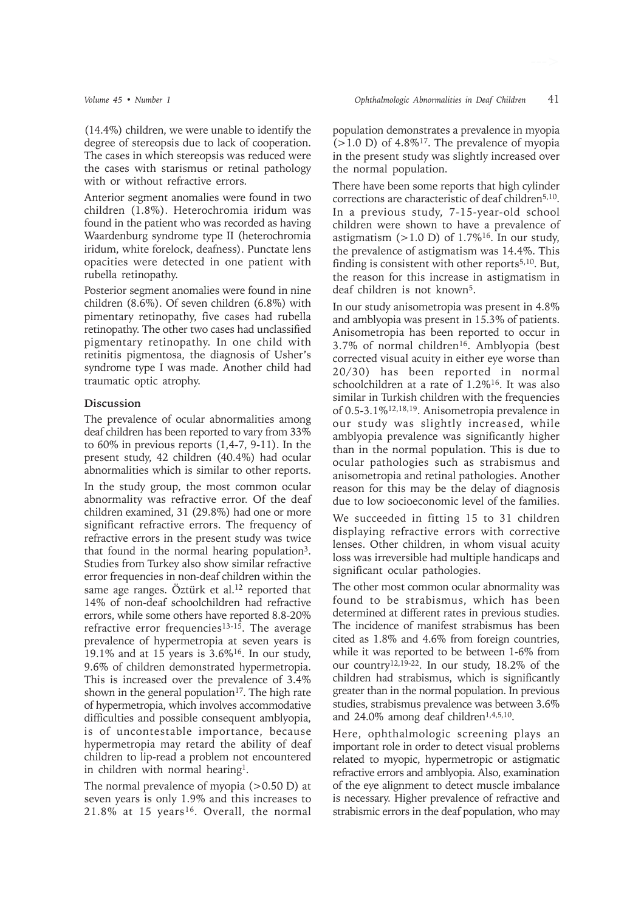(14.4%) children, we were unable to identify the degree of stereopsis due to lack of cooperation. The cases in which stereopsis was reduced were the cases with starismus or retinal pathology with or without refractive errors.

Anterior segment anomalies were found in two children (1.8%). Heterochromia iridum was found in the patient who was recorded as having Waardenburg syndrome type II (heterochromia iridum, white forelock, deafness). Punctate lens opacities were detected in one patient with rubella retinopathy.

Posterior segment anomalies were found in nine children (8.6%). Of seven children (6.8%) with pimentary retinopathy, five cases had rubella retinopathy. The other two cases had unclassified pigmentary retinopathy. In one child with retinitis pigmentosa, the diagnosis of Usher's syndrome type I was made. Another child had traumatic optic atrophy.

#### **Discussion**

The prevalence of ocular abnormalities among deaf children has been reported to vary from 33% to 60% in previous reports (1,4-7, 9-11). In the present study, 42 children (40.4%) had ocular abnormalities which is similar to other reports. In the study group, the most common ocular abnormality was refractive error. Of the deaf children examined, 31 (29.8%) had one or more significant refractive errors. The frequency of refractive errors in the present study was twice that found in the normal hearing population3. Studies from Turkey also show similar refractive error frequencies in non-deaf children within the same age ranges. Öztürk et al.<sup>12</sup> reported that 14% of non-deaf schoolchildren had refractive errors, while some others have reported 8.8-20% refractive error frequencies<sup>13-15</sup>. The average prevalence of hypermetropia at seven years is 19.1% and at 15 years is 3.6%16. In our study, 9.6% of children demonstrated hypermetropia. This is increased over the prevalence of 3.4% shown in the general population<sup>17</sup>. The high rate of hypermetropia, which involves accommodative difficulties and possible consequent amblyopia, is of uncontestable importance, because hypermetropia may retard the ability of deaf children to lip-read a problem not encountered in children with normal hearing<sup>1</sup>.

The normal prevalence of myopia  $(>0.50 \text{ D})$  at seven years is only 1.9% and this increases to  $21.8\%$  at 15 years<sup>16</sup>. Overall, the normal population demonstrates a prevalence in myopia  $(>1.0 \text{ D})$  of 4.8%<sup>17</sup>. The prevalence of myopia in the present study was slightly increased over the normal population.

There have been some reports that high cylinder corrections are characteristic of deaf children<sup>5,10</sup>. In a previous study, 7-15-year-old school children were shown to have a prevalence of astigmatism  $(>1.0 \text{ D})$  of 1.7%<sup>16</sup>. In our study, the prevalence of astigmatism was 14.4%. This finding is consistent with other reports<sup> $5,10$ </sup>. But, the reason for this increase in astigmatism in deaf children is not known5.

In our study anisometropia was present in 4.8% and amblyopia was present in 15.3% of patients. Anisometropia has been reported to occur in 3.7% of normal children16. Amblyopia (best corrected visual acuity in either eye worse than 20/30) has been reported in normal schoolchildren at a rate of 1.2%16. It was also similar in Turkish children with the frequencies of 0.5-3.1%12,18,19. Anisometropia prevalence in our study was slightly increased, while amblyopia prevalence was significantly higher than in the normal population. This is due to ocular pathologies such as strabismus and anisometropia and retinal pathologies. Another reason for this may be the delay of diagnosis due to low socioeconomic level of the families.

We succeeded in fitting 15 to 31 children displaying refractive errors with corrective lenses. Other children, in whom visual acuity loss was irreversible had multiple handicaps and significant ocular pathologies.

The other most common ocular abnormality was found to be strabismus, which has been determined at different rates in previous studies. The incidence of manifest strabismus has been cited as 1.8% and 4.6% from foreign countries, while it was reported to be between 1-6% from our country<sup>12,19-22</sup>. In our study, 18.2\% of the children had strabismus, which is significantly greater than in the normal population. In previous studies, strabismus prevalence was between 3.6% and  $24.0\%$  among deaf children<sup>1,4,5,10</sup>.

Here, ophthalmologic screening plays an important role in order to detect visual problems related to myopic, hypermetropic or astigmatic refractive errors and amblyopia. Also, examination of the eye alignment to detect muscle imbalance is necessary. Higher prevalence of refractive and strabismic errors in the deaf population, who may